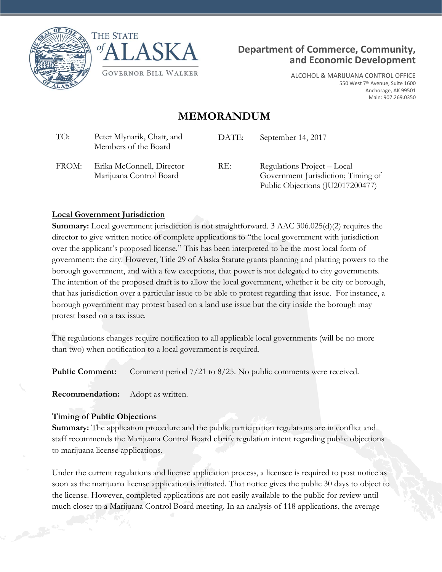





ALCOHOL & MARIJUANA CONTROL OFFICE 550 West 7<sup>th</sup> Avenue, Suite 1600 Anchorage, AK 99501 Main: 907.269.0350

# **MEMORANDUM**

| TO:   | Peter Mlynarik, Chair, and<br>Members of the Board   | DATE: | September 14, 2017                                                                                    |
|-------|------------------------------------------------------|-------|-------------------------------------------------------------------------------------------------------|
| FROM: | Erika McConnell, Director<br>Marijuana Control Board | RE:   | Regulations Project – Local<br>Government Jurisdiction; Timing of<br>Public Objections (JU2017200477) |

#### **Local Government Jurisdiction**

**Summary:** Local government jurisdiction is not straightforward. 3 AAC 306.025(d)(2) requires the director to give written notice of complete applications to "the local government with jurisdiction over the applicant's proposed license." This has been interpreted to be the most local form of government: the city. However, Title 29 of Alaska Statute grants planning and platting powers to the borough government, and with a few exceptions, that power is not delegated to city governments. The intention of the proposed draft is to allow the local government, whether it be city or borough, that has jurisdiction over a particular issue to be able to protest regarding that issue. For instance, a borough government may protest based on a land use issue but the city inside the borough may protest based on a tax issue.

The regulations changes require notification to all applicable local governments (will be no more than two) when notification to a local government is required.

**Public Comment:** Comment period 7/21 to 8/25. No public comments were received.

**Recommendation:** Adopt as written.

#### **Timing of Public Objections**

**Summary:** The application procedure and the public participation regulations are in conflict and staff recommends the Marijuana Control Board clarify regulation intent regarding public objections to marijuana license applications.

Under the current regulations and license application process, a licensee is required to post notice as soon as the marijuana license application is initiated. That notice gives the public 30 days to object to the license. However, completed applications are not easily available to the public for review until much closer to a Marijuana Control Board meeting. In an analysis of 118 applications, the average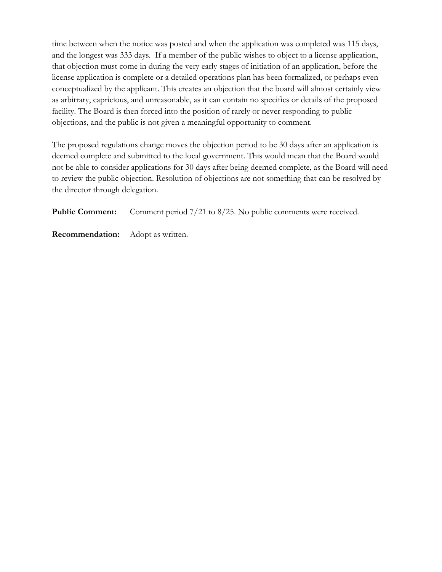time between when the notice was posted and when the application was completed was 115 days, and the longest was 333 days. If a member of the public wishes to object to a license application, that objection must come in during the very early stages of initiation of an application, before the license application is complete or a detailed operations plan has been formalized, or perhaps even conceptualized by the applicant. This creates an objection that the board will almost certainly view as arbitrary, capricious, and unreasonable, as it can contain no specifics or details of the proposed facility. The Board is then forced into the position of rarely or never responding to public objections, and the public is not given a meaningful opportunity to comment.

The proposed regulations change moves the objection period to be 30 days after an application is deemed complete and submitted to the local government. This would mean that the Board would not be able to consider applications for 30 days after being deemed complete, as the Board will need to review the public objection. Resolution of objections are not something that can be resolved by the director through delegation.

**Public Comment:** Comment period 7/21 to 8/25. No public comments were received.

**Recommendation:** Adopt as written.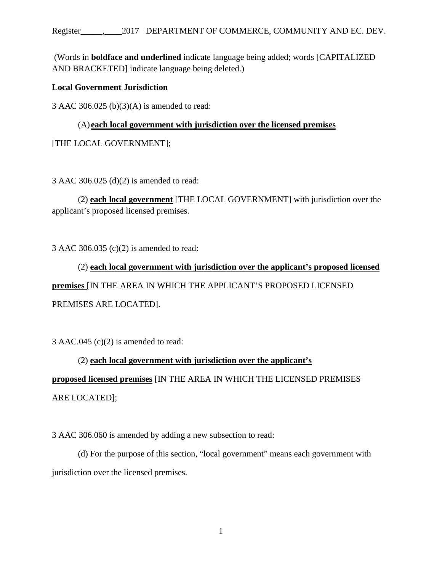#### Register\_\_\_\_\_,\_\_\_\_2017 DEPARTMENT OF COMMERCE, COMMUNITY AND EC. DEV.

(Words in **boldface and underlined** indicate language being added; words [CAPITALIZED AND BRACKETED] indicate language being deleted.)

## **Local Government Jurisdiction**

3 AAC 306.025 (b)(3)(A) is amended to read:

# (A) **each local government with jurisdiction over the licensed premises**

[THE LOCAL GOVERNMENT];

3 AAC 306.025 (d)(2) is amended to read:

(2) **each local government** [THE LOCAL GOVERNMENT] with jurisdiction over the applicant's proposed licensed premises.

3 AAC 306.035 (c)(2) is amended to read:

(2) **each local government with jurisdiction over the applicant's proposed licensed premises** [IN THE AREA IN WHICH THE APPLICANT'S PROPOSED LICENSED PREMISES ARE LOCATED].

3 AAC.045 (c)(2) is amended to read:

(2) **each local government with jurisdiction over the applicant's proposed licensed premises** [IN THE AREA IN WHICH THE LICENSED PREMISES ARE LOCATED];

3 AAC 306.060 is amended by adding a new subsection to read:

(d) For the purpose of this section, "local government" means each government with jurisdiction over the licensed premises.